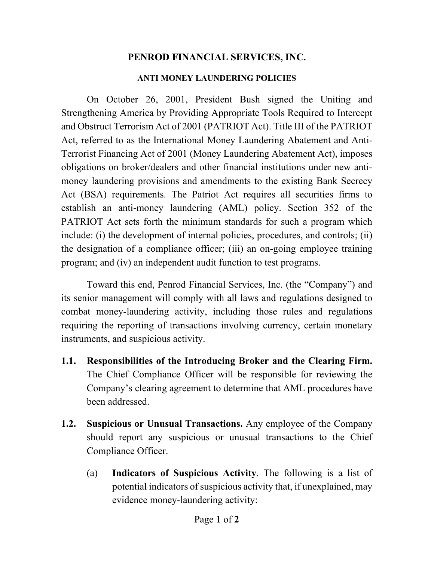## **PENROD FINANCIAL SERVICES, INC.**

## **ANTI MONEY LAUNDERING POLICIES**

On October 26, 2001, President Bush signed the Uniting and Strengthening America by Providing Appropriate Tools Required to Intercept and Obstruct Terrorism Act of 2001 (PATRIOT Act). Title III of the PATRIOT Act, referred to as the International Money Laundering Abatement and Anti-Terrorist Financing Act of 2001 (Money Laundering Abatement Act), imposes obligations on broker/dealers and other financial institutions under new antimoney laundering provisions and amendments to the existing Bank Secrecy Act (BSA) requirements. The Patriot Act requires all securities firms to establish an anti-money laundering (AML) policy. Section 352 of the PATRIOT Act sets forth the minimum standards for such a program which include: (i) the development of internal policies, procedures, and controls; (ii) the designation of a compliance officer; (iii) an on-going employee training program; and (iv) an independent audit function to test programs.

Toward this end, Penrod Financial Services, Inc. (the "Company") and its senior management will comply with all laws and regulations designed to combat money-laundering activity, including those rules and regulations requiring the reporting of transactions involving currency, certain monetary instruments, and suspicious activity.

- **1.1. Responsibilities of the Introducing Broker and the Clearing Firm.** The Chief Compliance Officer will be responsible for reviewing the Company's clearing agreement to determine that AML procedures have been addressed.
- **1.2. Suspicious or Unusual Transactions.** Any employee of the Company should report any suspicious or unusual transactions to the Chief Compliance Officer.
	- (a) **Indicators of Suspicious Activity**. The following is a list of potential indicators of suspicious activity that, if unexplained, may evidence money-laundering activity: